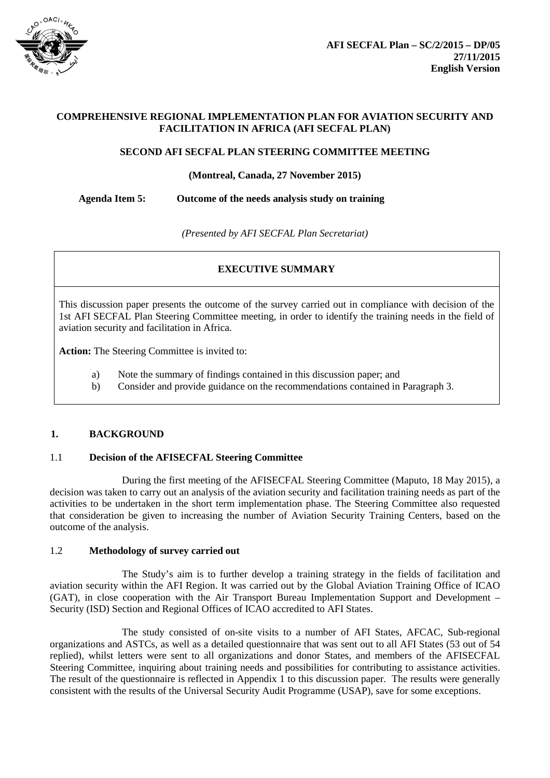

## **COMPREHENSIVE REGIONAL IMPLEMENTATION PLAN FOR AVIATION SECURITY AND FACILITATION IN AFRICA (AFI SECFAL PLAN)**

#### **SECOND AFI SECFAL PLAN STEERING COMMITTEE MEETING**

#### **(Montreal, Canada, 27 November 2015)**

**Agenda Item 5: Outcome of the needs analysis study on training**

*(Presented by AFI SECFAL Plan Secretariat)*

# **EXECUTIVE SUMMARY**

This discussion paper presents the outcome of the survey carried out in compliance with decision of the 1st AFI SECFAL Plan Steering Committee meeting, in order to identify the training needs in the field of aviation security and facilitation in Africa.

**Action:** The Steering Committee is invited to:

- a) Note the summary of findings contained in this discussion paper; and
- b) Consider and provide guidance on the recommendations contained in Paragraph 3.

## **1. BACKGROUND**

## 1.1 **Decision of the AFISECFAL Steering Committee**

During the first meeting of the AFISECFAL Steering Committee (Maputo, 18 May 2015), a decision was taken to carry out an analysis of the aviation security and facilitation training needs as part of the activities to be undertaken in the short term implementation phase. The Steering Committee also requested that consideration be given to increasing the number of Aviation Security Training Centers, based on the outcome of the analysis.

#### 1.2 **Methodology of survey carried out**

The Study's aim is to further develop a training strategy in the fields of facilitation and aviation security within the AFI Region. It was carried out by the Global Aviation Training Office of ICAO (GAT), in close cooperation with the Air Transport Bureau Implementation Support and Development – Security (ISD) Section and Regional Offices of ICAO accredited to AFI States.

The study consisted of on-site visits to a number of AFI States, AFCAC, Sub-regional organizations and ASTCs, as well as a detailed questionnaire that was sent out to all AFI States (53 out of 54 replied), whilst letters were sent to all organizations and donor States, and members of the AFISECFAL Steering Committee, inquiring about training needs and possibilities for contributing to assistance activities. The result of the questionnaire is reflected in Appendix 1 to this discussion paper. The results were generally consistent with the results of the Universal Security Audit Programme (USAP), save for some exceptions.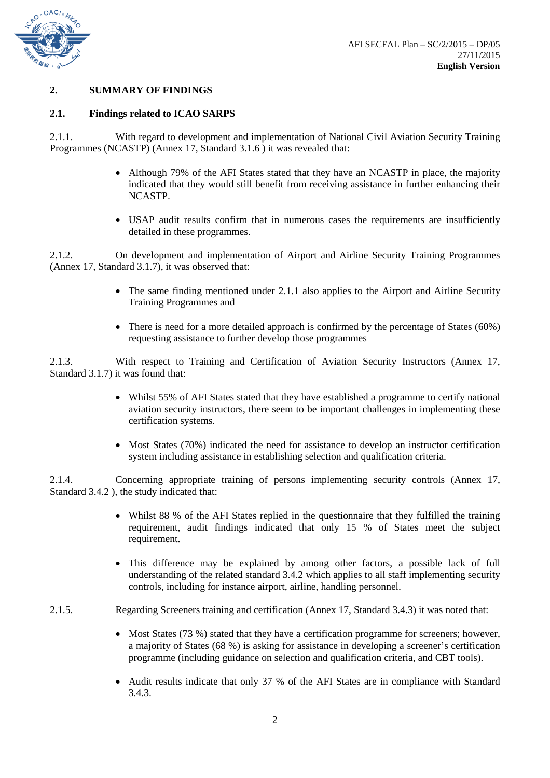

## **2. SUMMARY OF FINDINGS**

#### **2.1. Findings related to ICAO SARPS**

2.1.1. With regard to development and implementation of National Civil Aviation Security Training Programmes (NCASTP) (Annex 17, Standard 3.1.6 ) it was revealed that:

- Although 79% of the AFI States stated that they have an NCASTP in place, the majority indicated that they would still benefit from receiving assistance in further enhancing their NCASTP.
- USAP audit results confirm that in numerous cases the requirements are insufficiently detailed in these programmes.

2.1.2. On development and implementation of Airport and Airline Security Training Programmes (Annex 17, Standard 3.1.7), it was observed that:

- The same finding mentioned under 2.1.1 also applies to the Airport and Airline Security Training Programmes and
- There is need for a more detailed approach is confirmed by the percentage of States (60%) requesting assistance to further develop those programmes

2.1.3. With respect to Training and Certification of Aviation Security Instructors (Annex 17, Standard 3.1.7) it was found that:

- Whilst 55% of AFI States stated that they have established a programme to certify national aviation security instructors, there seem to be important challenges in implementing these certification systems.
- Most States (70%) indicated the need for assistance to develop an instructor certification system including assistance in establishing selection and qualification criteria.

2.1.4. Concerning appropriate training of persons implementing security controls (Annex 17, Standard 3.4.2 ), the study indicated that:

- Whilst 88 % of the AFI States replied in the questionnaire that they fulfilled the training requirement, audit findings indicated that only 15 % of States meet the subject requirement.
- This difference may be explained by among other factors, a possible lack of full understanding of the related standard 3.4.2 which applies to all staff implementing security controls, including for instance airport, airline, handling personnel.
- 2.1.5. Regarding Screeners training and certification (Annex 17, Standard 3.4.3) it was noted that:
	- Most States (73 %) stated that they have a certification programme for screeners; however, a majority of States (68 %) is asking for assistance in developing a screener's certification programme (including guidance on selection and qualification criteria, and CBT tools).
	- Audit results indicate that only 37 % of the AFI States are in compliance with Standard 3.4.3.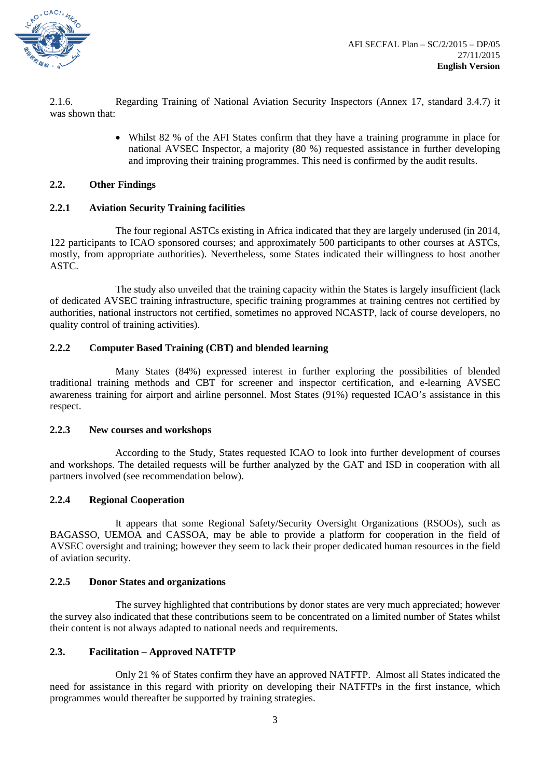

2.1.6. Regarding Training of National Aviation Security Inspectors (Annex 17, standard 3.4.7) it was shown that:

> • Whilst 82 % of the AFI States confirm that they have a training programme in place for national AVSEC Inspector, a majority (80 %) requested assistance in further developing and improving their training programmes. This need is confirmed by the audit results.

#### **2.2. Other Findings**

#### **2.2.1 Aviation Security Training facilities**

The four regional ASTCs existing in Africa indicated that they are largely underused (in 2014, 122 participants to ICAO sponsored courses; and approximately 500 participants to other courses at ASTCs, mostly, from appropriate authorities). Nevertheless, some States indicated their willingness to host another ASTC.

The study also unveiled that the training capacity within the States is largely insufficient (lack of dedicated AVSEC training infrastructure, specific training programmes at training centres not certified by authorities, national instructors not certified, sometimes no approved NCASTP, lack of course developers, no quality control of training activities).

#### **2.2.2 Computer Based Training (CBT) and blended learning**

Many States (84%) expressed interest in further exploring the possibilities of blended traditional training methods and CBT for screener and inspector certification, and e-learning AVSEC awareness training for airport and airline personnel. Most States (91%) requested ICAO's assistance in this respect.

#### **2.2.3 New courses and workshops**

According to the Study, States requested ICAO to look into further development of courses and workshops. The detailed requests will be further analyzed by the GAT and ISD in cooperation with all partners involved (see recommendation below).

#### **2.2.4 Regional Cooperation**

It appears that some Regional Safety/Security Oversight Organizations (RSOOs), such as BAGASSO, UEMOA and CASSOA, may be able to provide a platform for cooperation in the field of AVSEC oversight and training; however they seem to lack their proper dedicated human resources in the field of aviation security.

#### **2.2.5 Donor States and organizations**

The survey highlighted that contributions by donor states are very much appreciated; however the survey also indicated that these contributions seem to be concentrated on a limited number of States whilst their content is not always adapted to national needs and requirements.

#### **2.3. Facilitation – Approved NATFTP**

Only 21 % of States confirm they have an approved NATFTP. Almost all States indicated the need for assistance in this regard with priority on developing their NATFTPs in the first instance, which programmes would thereafter be supported by training strategies.